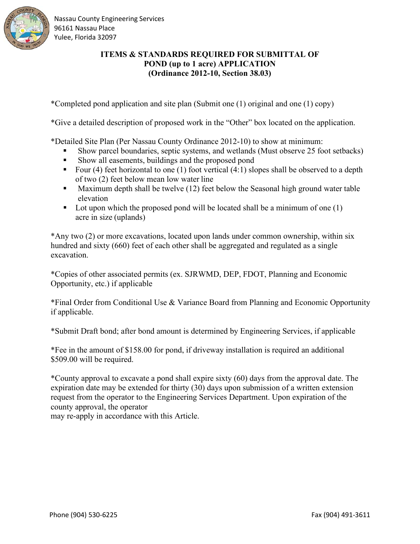

Nassau County Engineering Services 96161 Nassau Place Yulee, Florida 32097

# **ITEMS & STANDARDS REQUIRED FOR SUBMITTAL OF POND (up to 1 acre) APPLICATION (Ordinance 2012-10, Section 38.03)**

\*Completed pond application and site plan (Submit one (1) original and one (1) copy)

\*Give a detailed description of proposed work in the "Other" box located on the application.

\*Detailed Site Plan (Per Nassau County Ordinance 2012-10) to show at minimum:

- Show parcel boundaries, septic systems, and wetlands (Must observe 25 foot setbacks)
- Show all easements, buildings and the proposed pond
- Four (4) feet horizontal to one (1) foot vertical (4:1) slopes shall be observed to a depth of two (2) feet below mean low water line
- **Maximum depth shall be twelve (12) feet below the Seasonal high ground water table** elevation
- Lot upon which the proposed pond will be located shall be a minimum of one  $(1)$ acre in size (uplands)

\*Any two (2) or more excavations, located upon lands under common ownership, within six hundred and sixty (660) feet of each other shall be aggregated and regulated as a single excavation.

\*Copies of other associated permits (ex. SJRWMD, DEP, FDOT, Planning and Economic Opportunity, etc.) if applicable

\*Final Order from Conditional Use & Variance Board from Planning and Economic Opportunity if applicable.

\*Submit Draft bond; after bond amount is determined by Engineering Services, if applicable

\*Fee in the amount of \$158.00 for pond, if driveway installation is required an additional \$509.00 will be required.

\*County approval to excavate a pond shall expire sixty (60) days from the approval date. The expiration date may be extended for thirty (30) days upon submission of a written extension request from the operator to the Engineering Services Department. Upon expiration of the county approval, the operator

may re-apply in accordance with this Article.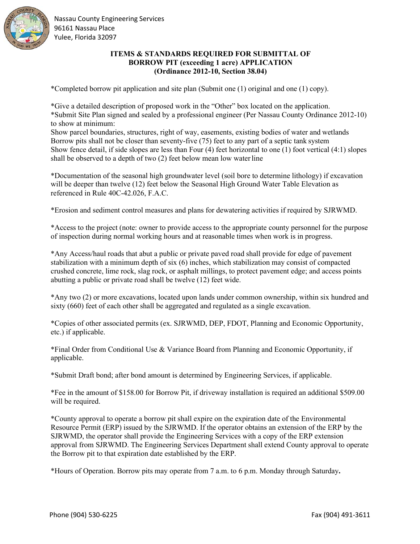

Nassau County Engineering Services 96161 Nassau Place Yulee, Florida 32097

### **ITEMS & STANDARDS REQUIRED FOR SUBMITTAL OF BORROW PIT (exceeding 1 acre) APPLICATION (Ordinance 2012-10, Section 38.04)**

\*Completed borrow pit application and site plan (Submit one (1) original and one (1) copy).

\*Give a detailed description of proposed work in the "Other" box located on the application. \*Submit Site Plan signed and sealed by a professional engineer (Per Nassau County Ordinance 2012-10) to show at minimum:

Show parcel boundaries, structures, right of way, easements, existing bodies of water and wetlands Borrow pits shall not be closer than seventy-five (75) feet to any part of a septic tank system Show fence detail, if side slopes are less than Four (4) feet horizontal to one (1) foot vertical (4:1) slopes shall be observed to a depth of two (2) feet below mean low waterline

\*Documentation of the seasonal high groundwater level (soil bore to determine lithology) if excavation will be deeper than twelve (12) feet below the Seasonal High Ground Water Table Elevation as referenced in Rule 40C-42.026, F.A.C.

\*Erosion and sediment control measures and plans for dewatering activities if required by SJRWMD.

\*Access to the project (note: owner to provide access to the appropriate county personnel for the purpose of inspection during normal working hours and at reasonable times when work is in progress.

\*Any Access/haul roads that abut a public or private paved road shall provide for edge of pavement stabilization with a minimum depth of six (6) inches, which stabilization may consist of compacted crushed concrete, lime rock, slag rock, or asphalt millings, to protect pavement edge; and access points abutting a public or private road shall be twelve (12) feet wide.

\*Any two (2) or more excavations, located upon lands under common ownership, within six hundred and sixty (660) feet of each other shall be aggregated and regulated as a single excavation.

\*Copies of other associated permits (ex. SJRWMD, DEP, FDOT, Planning and Economic Opportunity, etc.) if applicable.

\*Final Order from Conditional Use & Variance Board from Planning and Economic Opportunity, if applicable.

\*Submit Draft bond; after bond amount is determined by Engineering Services, if applicable.

\*Fee in the amount of \$158.00 for Borrow Pit, if driveway installation is required an additional \$509.00 will be required.

\*County approval to operate a borrow pit shall expire on the expiration date of the Environmental Resource Permit (ERP) issued by the SJRWMD. If the operator obtains an extension of the ERP by the SJRWMD, the operator shall provide the Engineering Services with a copy of the ERP extension approval from SJRWMD. The Engineering Services Department shall extend County approval to operate the Borrow pit to that expiration date established by the ERP.

\*Hours of Operation. Borrow pits may operate from 7 a.m. to 6 p.m. Monday through Saturday**.**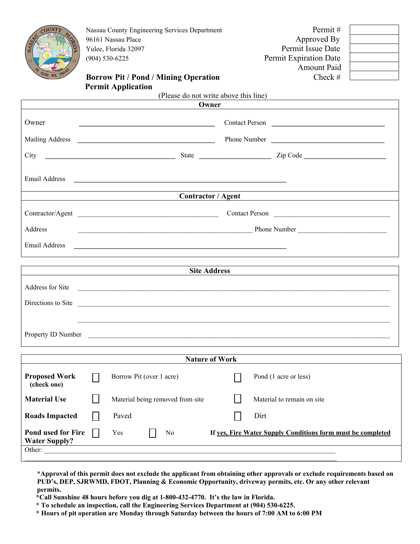

Nassau County Engineering Services Department Permit # 96161 Nassau Place Approved By Yulee, Florida 32097 Permit Issue Date (904) 530-6225 Permit Expiration Date

Amount Paid

#### **Borrow Pit / Pond / Mining Operation** Check # **Permit Application**

|                       | (Please do not write above this line)                                                                                                                                                                                                                                                                                             |
|-----------------------|-----------------------------------------------------------------------------------------------------------------------------------------------------------------------------------------------------------------------------------------------------------------------------------------------------------------------------------|
|                       | Owner                                                                                                                                                                                                                                                                                                                             |
| Owner                 | Contact Person                                                                                                                                                                                                                                                                                                                    |
|                       | Phone Number                                                                                                                                                                                                                                                                                                                      |
|                       |                                                                                                                                                                                                                                                                                                                                   |
| Email Address         | <u> 1989 - Johann Harry Harry Harry Harry Harry Harry Harry Harry Harry Harry Harry Harry Harry Harry Harry Harry Harry Harry Harry Harry Harry Harry Harry Harry Harry Harry Harry Harry Harry Harry Harry Harry Harry Harry Ha</u><br>the control of the control of the control of the control of the control of the control of |
|                       | Contractor / Agent                                                                                                                                                                                                                                                                                                                |
|                       | Contractor/Agent<br>Contact Person                                                                                                                                                                                                                                                                                                |
| Address               |                                                                                                                                                                                                                                                                                                                                   |
| Email Address         | <u> 1980 - Andrea Barbara, poeta esperanto-poeta esperanto-poeta esperanto-poeta esperanto-poeta esperanto-poeta</u>                                                                                                                                                                                                              |
|                       | <b>Site Address</b>                                                                                                                                                                                                                                                                                                               |
|                       | Address for Site                                                                                                                                                                                                                                                                                                                  |
|                       | Directions to Site entrancement of the state of the state of the state of the state of the state of the state of the state of the state of the state of the state of the state of the state of the state of the state of the s                                                                                                    |
|                       |                                                                                                                                                                                                                                                                                                                                   |
|                       | Property ID Number                                                                                                                                                                                                                                                                                                                |
| <b>Nature of Work</b> |                                                                                                                                                                                                                                                                                                                                   |
| <b>Proposed Work</b>  | Borrow Pit (over 1 acre)<br>П<br>Pond (1 acre or less)                                                                                                                                                                                                                                                                            |

 **(check one) Material Use** Material being removed from site Material to remain on site **Roads Impacted Paved** Paved **Dirt Pond used for Fire**  $\Box$  Yes  $\Box$  No **If yes, Fire Water Supply Conditions form must be completed Water Supply?** Other:

**\*Approval of this permit does not exclude the applicant from obtaining other approvals or exclude requirements based on PUD's, DEP, SJRWMD, FDOT, Planning & Economic Opportunity, driveway permits, etc. Or any other relevant permits.** 

**\*Call Sunshine 48 hours before you dig at 1-800-432-4770. It's the law in Florida.** 

**\* To schedule an inspection, call the Engineering Services Department at (904) 530-6225.** 

**\* Hours of pit operation are Monday through Saturday between the hours of 7:00 AM to 6:00 PM**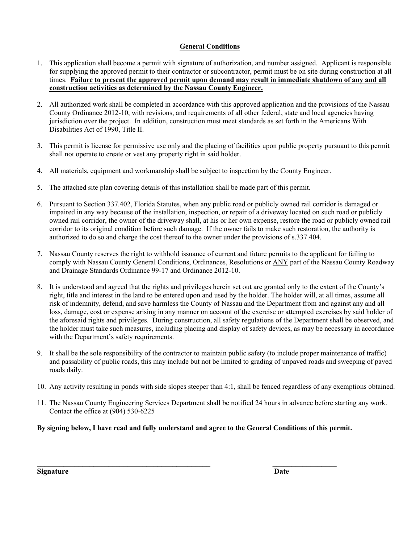#### **General Conditions**

- 1. This application shall become a permit with signature of authorization, and number assigned. Applicant is responsible for supplying the approved permit to their contractor or subcontractor, permit must be on site during construction at all times. **Failure to present the approved permit upon demand may result in immediate shutdown of any and all construction activities as determined by the Nassau County Engineer.**
- 2. All authorized work shall be completed in accordance with this approved application and the provisions of the Nassau County Ordinance 2012-10, with revisions, and requirements of all other federal, state and local agencies having jurisdiction over the project. In addition, construction must meet standards as set forth in the Americans With Disabilities Act of 1990, Title II.
- 3. This permit is license for permissive use only and the placing of facilities upon public property pursuant to this permit shall not operate to create or vest any property right in said holder.
- 4. All materials, equipment and workmanship shall be subject to inspection by the County Engineer.
- 5. The attached site plan covering details of this installation shall be made part of this permit.
- 6. Pursuant to Section 337.402, Florida Statutes, when any public road or publicly owned rail corridor is damaged or impaired in any way because of the installation, inspection, or repair of a driveway located on such road or publicly owned rail corridor, the owner of the driveway shall, at his or her own expense, restore the road or publicly owned rail corridor to its original condition before such damage. If the owner fails to make such restoration, the authority is authorized to do so and charge the cost thereof to the owner under the provisions of s.337.404.
- 7. Nassau County reserves the right to withhold issuance of current and future permits to the applicant for failing to comply with Nassau County General Conditions, Ordinances, Resolutions or ANY part of the Nassau County Roadway and Drainage Standards Ordinance 99-17 and Ordinance 2012-10.
- 8. It is understood and agreed that the rights and privileges herein set out are granted only to the extent of the County's right, title and interest in the land to be entered upon and used by the holder. The holder will, at all times, assume all risk of indemnity, defend, and save harmless the County of Nassau and the Department from and against any and all loss, damage, cost or expense arising in any manner on account of the exercise or attempted exercises by said holder of the aforesaid rights and privileges. During construction, all safety regulations of the Department shall be observed, and the holder must take such measures, including placing and display of safety devices, as may be necessary in accordance with the Department's safety requirements.
- 9. It shall be the sole responsibility of the contractor to maintain public safety (to include proper maintenance of traffic) and passability of public roads, this may include but not be limited to grading of unpaved roads and sweeping of paved roads daily.
- 10. Any activity resulting in ponds with side slopes steeper than 4:1, shall be fenced regardless of any exemptions obtained.
- 11. The Nassau County Engineering Services Department shall be notified 24 hours in advance before starting any work. Contact the office at (904) 530-6225

## **By signing below, I have read and fully understand and agree to the General Conditions of this permit.**

**Signature Date**